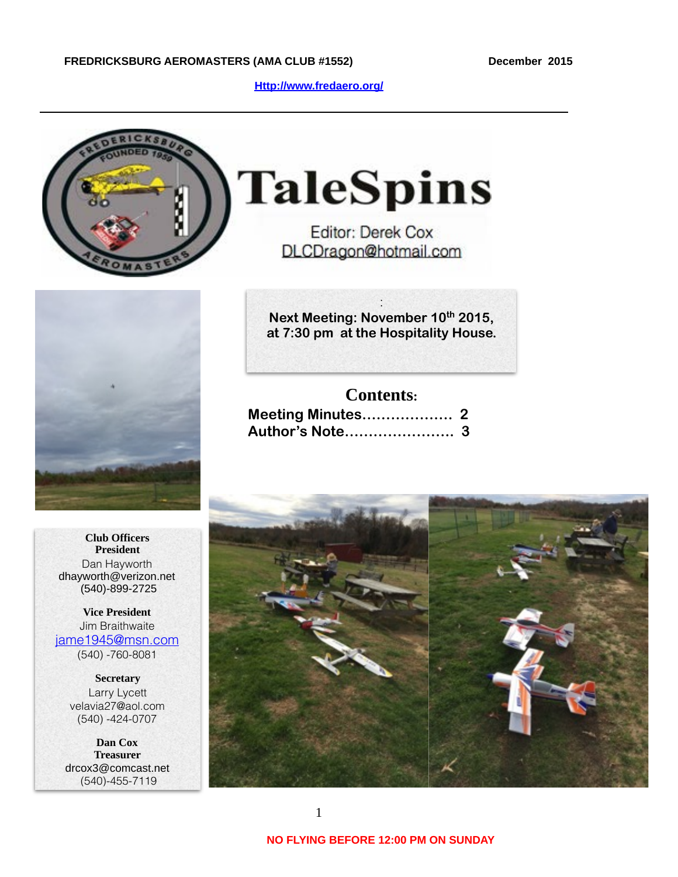**[Http://www.fredaero.org/](http://www.fredaero.org/)**



# **TaleSpins**

Editor: Derek Cox DLCDragon@hotmail.com



: **Next Meeting: November 10th 2015, at 7:30 pm at the Hospitality House.** 

## **Contents:**

**Club Officers President** Dan Hayworth dhayworth@verizon.net (540)-899-2725

**Vice President** Jim Braithwaite [jame1945@msn.com](mailto:jame1945@msn.com) (540) -760-8081

> **Secretary** Larry Lycett velavia27@aol.com (540) -424-0707

**Dan Cox Treasurer** drcox3@comcast.net (540)-455-7119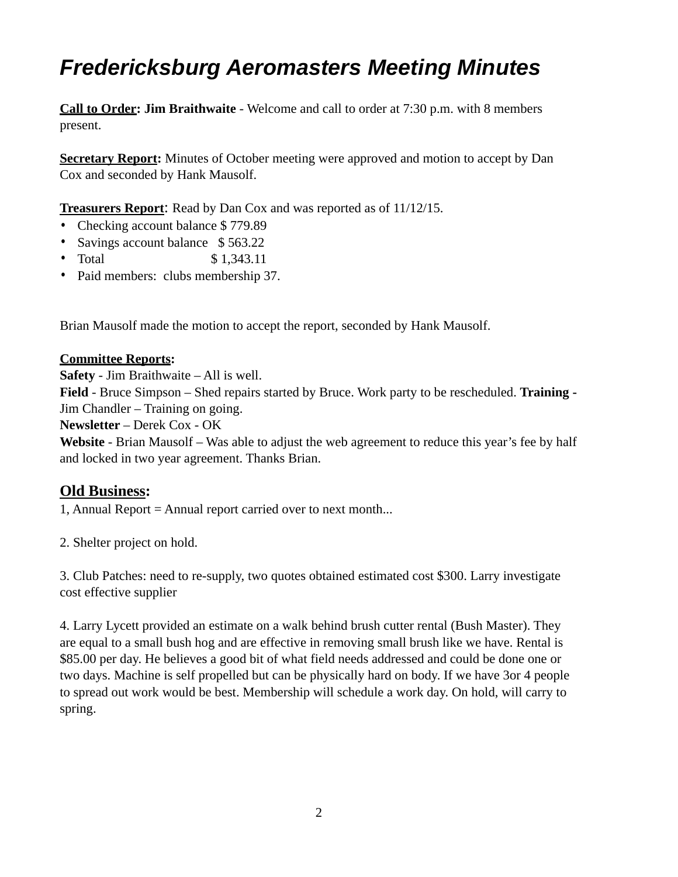# *Fredericksburg Aeromasters Meeting Minutes*

**Call to Order: Jim Braithwaite** - Welcome and call to order at 7:30 p.m. with 8 members present.

**Secretary Report:** Minutes of October meeting were approved and motion to accept by Dan Cox and seconded by Hank Mausolf.

**Treasurers Report**: Read by Dan Cox and was reported as of 11/12/15.

- Checking account balance \$779.89
- Savings account balance \$563.22
- Total \$ 1,343.11
- Paid members: clubs membership 37.

Brian Mausolf made the motion to accept the report, seconded by Hank Mausolf.

## **Committee Reports:**

**Safety** - Jim Braithwaite – All is well.

**Field** - Bruce Simpson – Shed repairs started by Bruce. Work party to be rescheduled. **Training -**  Jim Chandler – Training on going.

**Newsletter** – Derek Cox - OK

**Website** - Brian Mausolf – Was able to adjust the web agreement to reduce this year's fee by half and locked in two year agreement. Thanks Brian.

# **Old Business:**

1, Annual Report = Annual report carried over to next month...

2. Shelter project on hold.

3. Club Patches: need to re-supply, two quotes obtained estimated cost \$300. Larry investigate cost effective supplier

4. Larry Lycett provided an estimate on a walk behind brush cutter rental (Bush Master). They are equal to a small bush hog and are effective in removing small brush like we have. Rental is \$85.00 per day. He believes a good bit of what field needs addressed and could be done one or two days. Machine is self propelled but can be physically hard on body. If we have 3or 4 people to spread out work would be best. Membership will schedule a work day. On hold, will carry to spring.